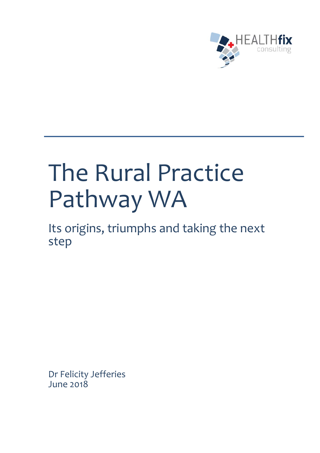

# The Rural Practice Pathway WA

Its origins, triumphs and taking the next step

Dr Felicity Jefferies June 2018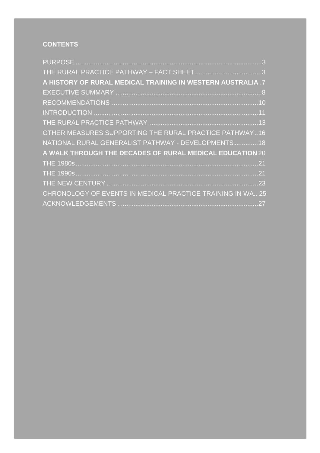### **CONTENTS**

| A HISTORY OF RURAL MEDICAL TRAINING IN WESTERN AUSTRALIA .7  |  |
|--------------------------------------------------------------|--|
|                                                              |  |
|                                                              |  |
|                                                              |  |
|                                                              |  |
| OTHER MEASURES SUPPORTING THE RURAL PRACTICE PATHWAY16       |  |
| NATIONAL RURAL GENERALIST PATHWAY - DEVELOPMENTS 18          |  |
| A WALK THROUGH THE DECADES OF RURAL MEDICAL EDUCATION 20     |  |
|                                                              |  |
|                                                              |  |
|                                                              |  |
| CHRONOLOGY OF EVENTS IN MEDICAL PRACTICE TRAINING IN WA., 25 |  |
|                                                              |  |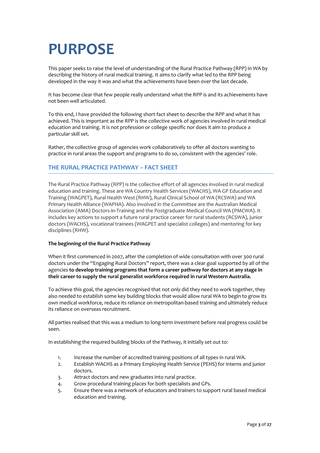### **PURPOSE**

This paper seeks to raise the level of understanding of the Rural Practice Pathway (RPP) in WA by describing the history of rural medical training. It aims to clarify what led to the RPP being developed in the way it was and what the achievements have been over the last decade.

It has become clear that few people really understand what the RPP is and its achievements have not been well articulated.

To this end, I have provided the following short fact sheet to describe the RPP and what it has achieved. This is important as the RPP is the collective work of agencies involved in rural medical education and training. It is not profession or college specific nor does it aim to produce a particular skill set.

Rather, the collective group of agencies work collaboratively to offer all doctors wanting to practice in rural areas the support and programs to do so, consistent with the agencies' role.

#### **THE RURAL PRACTICE PATHWAY – FACT SHEET**

The Rural Practice Pathway (RPP) is the collective effort of all agencies involved in rural medical education and training. These are WA Country Health Services (WACHS), WA GP Education and Training (WAGPET), Rural Health West (RHW), Rural Clinical School of WA (RCSWA) and WA Primary Health Alliance (WAPHA). Also involved in the Committee are the Australian Medical Association (AMA) Doctors‐in‐Training and the Postgraduate Medical Council WA (PMCWA). It includes key actions to support a future rural practice career for rural students (RCSWA), junior doctors (WACHS), vocational trainees (WAGPET and specialist colleges) and mentoring for key disciplines (RHW).

#### **The beginning of the Rural Practice Pathway**

When it first commenced in 2007, after the completion of wide consultation with over 300 rural doctors under the "Engaging Rural Doctors" report, there was a clear goal supported by all of the agencies **to develop training programs that form a career pathway for doctors at any stage in their career to supply the rural generalist workforce required in rural Western Australia.**

To achieve this goal, the agencies recognised that not only did they need to work together, they also needed to establish some key building blocks that would allow rural WA to begin to grow its own medical workforce, reduce its reliance on metropolitan‐based training and ultimately reduce its reliance on overseas recruitment.

All parties realised that this was a medium to long‐term investment before real progress could be seen.

In establishing the required building blocks of the Pathway, it initially set out to:

- 1. Increase the number of accredited training positions of all types in rural WA.
- 2. Establish WACHS as a Primary Employing Health Service (PEHS) for interns and junior doctors.
- 3. Attract doctors and new graduates into rural practice.
- 4. Grow procedural training places for both specialists and GPs.
- 5. Ensure there was a network of educators and trainers to support rural based medical education and training.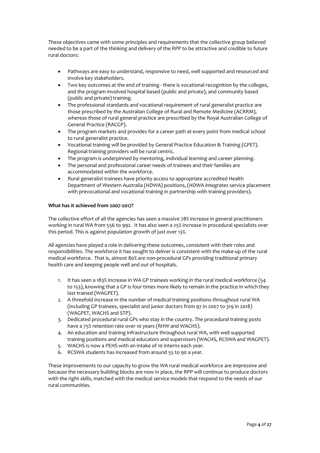These objectives came with some principles and requirements that the collective group believed needed to be a part of the thinking and delivery of the RPP to be attractive and credible to future rural doctors:

- Pathways are easy to understand, responsive to need, well supported and resourced and involve key stakeholders.
- Two key outcomes at the end of training there is vocational recognition by the colleges, and the program involved hospital based (public and private), and community based (public and private) training.
- The professional standards and vocational requirement of rural generalist practice are those prescribed by the Australian College of Rural and Remote Medicine (ACRRM), whereas those of rural general practice are prescribed by the Royal Australian College of General Practice (RACGP).
- The program markets and provides for a career path at every point from medical school to rural generalist practice.
- Vocational training will be provided by General Practice Education & Training (GPET). Regional training providers will be rural centric.
- The program is underpinned by mentoring, individual learning and career planning.
- The personal and professional career needs of trainees and their families are accommodated within the workforce.
- Rural generalist trainees have priority access to appropriate accredited Health Department of Western Australia (HDWA) positions, (HDWA integrates service placement with prevocational and vocational training in partnership with training providers).

#### **What has it achieved from 2007‐2017?**

The collective effort of all the agencies has seen a massive 78% increase in general practitioners working in rural WA from 556 to 992. It has also seen a 25% increase in procedural specialists over this period. This is against population growth of just over 13%.

All agencies have played a role in delivering these outcomes, consistent with their roles and responsibilities. The workforce it has sought to deliver is consistent with the make‐up of the rural medical workforce. That is, almost 80% are non-procedural GPs providing traditional primary health care and keeping people well and out of hospitals.

- 1. It has seen a 183% increase in WA GP trainees working in the rural medical workforce (54 to 153), knowing that a GP is four times more likely to remain in the practice in which they last trained (WAGPET).
- 2. A threefold increase in the number of medical training positions throughout rural WA (including GP trainees, specialist and junior doctors from 97 in 2007 to 319 in 2018) (WAGPET, WACHS and STP).
- 3. Dedicated procedural rural GPs who stay in the country. The procedural training posts have a 75% retention rate over 10 years (RHW and WACHS).
- 4. An education and training infrastructure throughout rural WA, with well supported training positions and medical educators and supervisors (WACHS, RCSWA and WAGPET).
- 5. WACHS is now a PEHS with an intake of 10 interns each year.
- 6. RCSWA students has increased from around 55 to 90 a year.

These improvements to our capacity to grow the WA rural medical workforce are impressive and because the necessary building blocks are now in place, the RPP will continue to produce doctors with the right skills, matched with the medical service models that respond to the needs of our rural communities.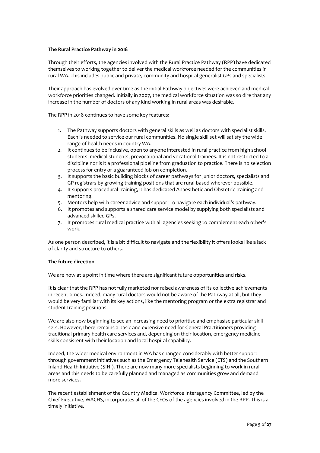#### **The Rural Practice Pathway in 2018**

Through their efforts, the agencies involved with the Rural Practice Pathway (RPP) have dedicated themselves to working together to deliver the medical workforce needed for the communities in rural WA. This includes public and private, community and hospital generalist GPs and specialists.

Their approach has evolved over time as the initial Pathway objectives were achieved and medical workforce priorities changed. Initially in 2007, the medical workforce situation was so dire that any increase in the number of doctors of any kind working in rural areas was desirable.

The RPP in 2018 continues to have some key features:

- 1. The Pathway supports doctors with general skills as well as doctors with specialist skills. Each is needed to service our rural communities. No single skill set will satisfy the wide range of health needs in country WA.
- 2. It continues to be inclusive, open to anyone interested in rural practice from high school students, medical students, prevocational and vocational trainees. It is not restricted to a discipline nor is it a professional pipeline from graduation to practice. There is no selection process for entry or a guaranteed job on completion.
- 3. It supports the basic building blocks of career pathways for junior doctors, specialists and GP registrars by growing training positions that are rural‐based wherever possible.
- 4. It supports procedural training, it has dedicated Anaesthetic and Obstetric training and mentoring.
- 5. Mentors help with career advice and support to navigate each individual's pathway.
- 6. It promotes and supports a shared care service model by supplying both specialists and advanced skilled GPs.
- 7. It promotes rural medical practice with all agencies seeking to complement each other's work.

As one person described, it is a bit difficult to navigate and the flexibility it offers looks like a lack of clarity and structure to others.

#### **The future direction**

We are now at a point in time where there are significant future opportunities and risks.

It is clear that the RPP has not fully marketed nor raised awareness of its collective achievements in recent times. Indeed, many rural doctors would not be aware of the Pathway at all, but they would be very familiar with its key actions, like the mentoring program or the extra registrar and student training positions.

We are also now beginning to see an increasing need to prioritise and emphasise particular skill sets. However, there remains a basic and extensive need for General Practitioners providing traditional primary health care services and, depending on their location, emergency medicine skills consistent with their location and local hospital capability.

Indeed, the wider medical environment in WA has changed considerably with better support through government initiatives such as the Emergency Telehealth Service (ETS) and the Southern Inland Health Initiative (SIHI). There are now many more specialists beginning to work in rural areas and this needs to be carefully planned and managed as communities grow and demand more services.

The recent establishment of the Country Medical Workforce Interagency Committee, led by the Chief Executive, WACHS, incorporates all of the CEOs of the agencies involved in the RPP. This is a timely initiative.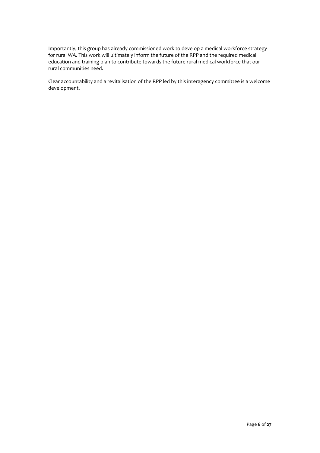Importantly, this group has already commissioned work to develop a medical workforce strategy for rural WA. This work will ultimately inform the future of the RPP and the required medical education and training plan to contribute towards the future rural medical workforce that our rural communities need.

Clear accountability and a revitalisation of the RPP led by this interagency committee is a welcome development.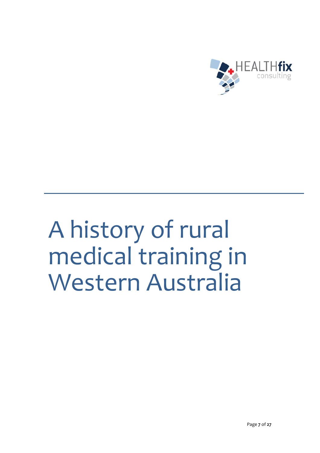

# A history of rural medical training in Western Australia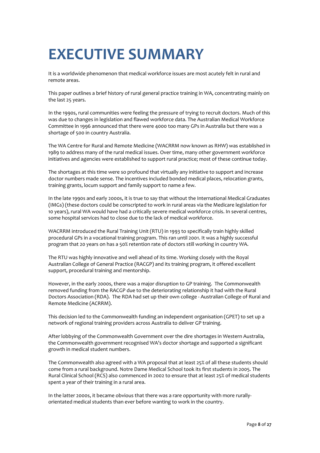### **EXECUTIVE SUMMARY**

It is a worldwide phenomenon that medical workforce issues are most acutely felt in rural and remote areas.

This paper outlines a brief history of rural general practice training in WA, concentrating mainly on the last 25 years.

In the 1990s, rural communities were feeling the pressure of trying to recruit doctors. Much of this was due to changes in legislation and flawed workforce data. The Australian Medical Workforce Committee in 1996 announced that there were 4000 too many GPs in Australia but there was a shortage of 500 in country Australia.

The WA Centre for Rural and Remote Medicine (WACRRM now known as RHW) was established in 1989 to address many of the rural medical issues. Over time, many other government workforce initiatives and agencies were established to support rural practice; most of these continue today.

The shortages at this time were so profound that virtually any initiative to support and increase doctor numbers made sense. The incentives included bonded medical places, relocation grants, training grants, locum support and family support to name a few.

In the late 1990s and early 2000s, it is true to say that without the International Medical Graduates (IMGs) (these doctors could be conscripted to work in rural areas via the Medicare legislation for 10 years), rural WA would have had a critically severe medical workforce crisis. In several centres, some hospital services had to close due to the lack of medical workforce.

WACRRM introduced the Rural Training Unit (RTU) in 1993 to specifically train highly skilled procedural GPs in a vocational training program. This ran until 2001. It was a highly successful program that 20 years on has a 50% retention rate of doctors still working in country WA.

The RTU was highly innovative and well ahead of its time. Working closely with the Royal Australian College of General Practice (RACGP) and its training program, it offered excellent support, procedural training and mentorship.

However, in the early 2000s, there was a major disruption to GP training. The Commonwealth removed funding from the RACGP due to the deteriorating relationship it had with the Rural Doctors Association (RDA). The RDA had set up their own college ‐ Australian College of Rural and Remote Medicine (ACRRM).

This decision led to the Commonwealth funding an independent organisation (GPET) to set up a network of regional training providers across Australia to deliver GP training.

After lobbying of the Commonwealth Government over the dire shortages in Western Australia, the Commonwealth government recognised WA's doctor shortage and supported a significant growth in medical student numbers.

The Commonwealth also agreed with a WA proposal that at least 25% of all these students should come from a rural background. Notre Dame Medical School took its first students in 2005. The Rural Clinical School (RCS) also commenced in 2002 to ensure that at least 25% of medical students spent a year of their training in a rural area.

In the latter 2000s, it became obvious that there was a rare opportunity with more rurally‐ orientated medical students than ever before wanting to work in the country.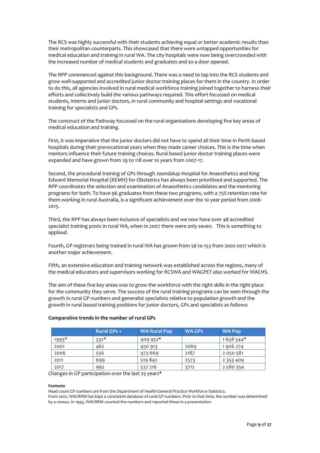The RCS was highly successful with their students achieving equal or better academic results than their metropolitan counterparts. This showcased that there were untapped opportunities for medical education and training in rural WA. The city hospitals were now being overcrowded with the increased number of medical students and graduates and so a door opened.

The RPP commenced against this background. There was a need to tap into the RCS students and grow well‐supported and accredited junior doctor training places for them in the country. In order to do this, all agencies involved in rural medical workforce training joined together to harness their efforts and collectively build the various pathways required. This effort focussed on medical students, interns and junior doctors, in rural community and hospital settings and vocational training for specialists and GPs.

The construct of the Pathway focussed on the rural organisations developing five key areas of medical education and training.

First, it was imperative that the junior doctors did not have to spend all their time in Perth based hospitals during their prevocational years when they made career choices. This is the time when mentors influence their future training choices. Rural based junior doctor training places were expanded and have grown from 29 to 118 over 10 years from 2007‐17.

Second, the procedural training of GPs through Joondalup Hospital for Anaesthetics and King Edward Memorial Hospital (KEMH) for Obstetrics has always been prioritised and supported. The RPP coordinates the selection and examination of Anaesthetics candidates and the mentoring programs for both. To have 96 graduates from these two programs, with a 75% retention rate for them working in rural Australia, is a significant achievement over the 10 year period from 2006‐ 2015.

Third, the RPP has always been inclusive of specialists and we now have over 48 accredited specialist training posts in rural WA, when in 2007 there were only seven. This is something to applaud.

Fourth, GP registrars being trained in rural WA has grown from 56 to 153 from 2002‐2017 which is another major achievement.

Fifth, an extensive education and training network was established across the regions, many of the medical educators and supervisors working for RCSWA and WAGPET also worked for WACHS.

The aim of these five key areas was to grow the workforce with the right skills in the right place for the community they serve. The success of the rural training programs can be seen through the growth in rural GP numbers and generalist specialists relative to population growth and the growth in rural based training positions for junior doctors, GPs and specialists as follows:

|         | Rural GPs $+$ | <b>WA Rural Pop</b> | <b>WA GPs</b> | <b>WA Pop</b> |
|---------|---------------|---------------------|---------------|---------------|
| $1993*$ | $332*$        | 409 952*            |               | 1658 544*     |
| 2001    | 462           | 450 913             | 2069          | 1906 274      |
| 2006    | 556           | 473 669             | 2187          | 2 0 5 0 5 8 1 |
| 2011    | 699           | 519 842             | 2573          | 2 3 5 4 0 9   |
| 2017    | 992           | 537 216             | 3712          | 2 580 354     |

#### **Comparative trends in the number of rural GPs**

Changes in GP participation over the last 25 years\*

#### **Footnote**

Head count GP numbers are from the Department of Health‐General Practice Workforce Statistics.

From 2001, WACRRM has kept a consistent database of rural GP numbers. Prior to that time, the number was determined by a census. In 1993, WACRRM counted the numbers and reported these in a presentation.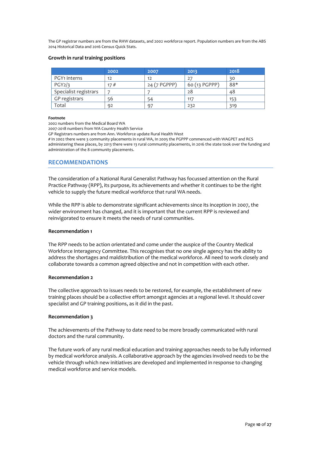The GP registrar numbers are from the RHW datasets, and 2002 workforce report. Population numbers are from the ABS 2014 Historical Data and 2016 Census Quick Stats.

#### **Growth in rural training positions**

|                       | 2002 | 2007         | 2013          | 2018 |
|-----------------------|------|--------------|---------------|------|
| PGY1 interns          | 12   | 12           | 27            | 30   |
| PGY2/3                | 17#  | 24 (7 PGPPP) | 60 (13 PGPPP) | 88*  |
| Specialist registrars |      |              | 28            | 48   |
| GP registrars         | 56   | 54           | 117           | 153  |
| Total                 | 92   | 97           | 232           | 319  |

#### **Footnote**

2002 numbers from the Medical Board WA

2007‐2018 numbers from WA Country Health Service

GP Registrars numbers are from Ann. Workforce update Rural Health West

# In 2002 there were 3 community placements in rural WA, In 2005 the PGPPP commenced with WAGPET and RCS administering these places, by 2013 there were 13 rural community placements, in 2016 the state took over the funding and administration of the 8 community placements.

#### **RECOMMENDATIONS**

The consideration of a National Rural Generalist Pathway has focussed attention on the Rural Practice Pathway (RPP), its purpose, its achievements and whether it continues to be the right vehicle to supply the future medical workforce that rural WA needs.

While the RPP is able to demonstrate significant achievements since its inception in 2007, the wider environment has changed, and it is important that the current RPP is reviewed and reinvigorated to ensure it meets the needs of rural communities.

#### **Recommendation 1**

The RPP needs to be action orientated and come under the auspice of the Country Medical Workforce Interagency Committee. This recognises that no one single agency has the ability to address the shortages and maldistribution of the medical workforce. All need to work closely and collaborate towards a common agreed objective and not in competition with each other.

#### **Recommendation 2**

The collective approach to issues needs to be restored, for example, the establishment of new training places should be a collective effort amongst agencies at a regional level. It should cover specialist and GP training positions, as it did in the past.

#### **Recommendation 3**

The achievements of the Pathway to date need to be more broadly communicated with rural doctors and the rural community.

The future work of any rural medical education and training approaches needs to be fully informed by medical workforce analysis. A collaborative approach by the agencies involved needs to be the vehicle through which new initiatives are developed and implemented in response to changing medical workforce and service models.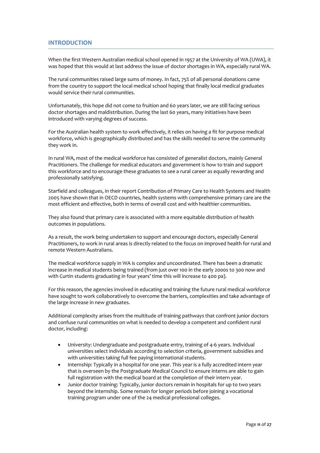#### **INTRODUCTION**

When the first Western Australian medical school opened in 1957 at the University of WA (UWA), it was hoped that this would at last address the issue of doctor shortages in WA, especially rural WA.

The rural communities raised large sums of money. In fact, 75% of all personal donations came from the country to support the local medical school hoping that finally local medical graduates would service their rural communities.

Unfortunately, this hope did not come to fruition and 60 years later, we are still facing serious doctor shortages and maldistribution. During the last 60 years, many initiatives have been introduced with varying degrees of success.

For the Australian health system to work effectively, it relies on having a fit for purpose medical workforce, which is geographically distributed and has the skills needed to serve the community they work in.

In rural WA, most of the medical workforce has consisted of generalist doctors, mainly General Practitioners. The challenge for medical educators and government is how to train and support this workforce and to encourage these graduates to see a rural career as equally rewarding and professionally satisfying.

Starfield and colleagues, in their report Contribution of Primary Care to Health Systems and Health 2005 have shown that in OECD countries, health systems with comprehensive primary care are the most efficient and effective, both in terms of overall cost and with healthier communities.

They also found that primary care is associated with a more equitable distribution of health outcomes in populations.

As a result, the work being undertaken to support and encourage doctors, especially General Practitioners, to work in rural areas is directly related to the focus on improved health for rural and remote Western Australians.

The medical workforce supply in WA is complex and uncoordinated. There has been a dramatic increase in medical students being trained (from just over 100 in the early 2000s to 300 now and with Curtin students graduating in four years' time this will increase to 400 pa).

For this reason, the agencies involved in educating and training the future rural medical workforce have sought to work collaboratively to overcome the barriers, complexities and take advantage of the large increase in new graduates.

Additional complexity arises from the multitude of training pathways that confront junior doctors and confuse rural communities on what is needed to develop a competent and confident rural doctor, including:

- University: Undergraduate and postgraduate entry, training of 4‐6 years. Individual universities select individuals according to selection criteria, government subsidies and with universities taking full fee paying international students.
- Internship: Typically in a hospital for one year. This year is a fully accredited intern year that is overseen by the Postgraduate Medical Council to ensure interns are able to gain full registration with the medical board at the completion of their intern year.
- Junior doctor training: Typically, junior doctors remain in hospitals for up to two years beyond the internship. Some remain for longer periods before joining a vocational training program under one of the 24 medical professional colleges.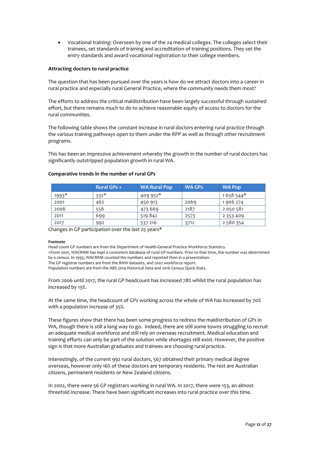Vocational training: Overseen by one of the 24 medical colleges. The colleges select their trainees, set standards of training and accreditation of training positions. They set the entry standards and award vocational registration to their college members.

#### **Attracting doctors to rural practice**

The question that has been pursued over the years is how do we attract doctors into a career in rural practice and especially rural General Practice, where the community needs them most?

The efforts to address the critical maldistribution have been largely successful through sustained effort, but there remains much to do to achieve reasonable equity of access to doctors for the rural communities.

The following table shows the constant increase in rural doctors entering rural practice through the various training pathways open to them under the RPP as well as through other recruitment programs.

This has been an impressive achievement whereby the growth in the number of rural doctors has significantly outstripped population growth in rural WA.

|         | <b>Rural GPs +</b> | <b>WA Rural Pop</b> | <b>WA GPs</b> | <b>WA Pop</b> |
|---------|--------------------|---------------------|---------------|---------------|
| $1993*$ | $332*$             | 409 952*            |               | 1658 544*     |
| 2001    | 462                | 450 913             | 2069          | 1906274       |
| 2006    | 556                | 473 669             | 2187          | 2 050 581     |
| 2011    | 699                | 519 842             | 2573          | 2 3 5 4 0 9   |
| 2017    | 992                | 537 216             | 3712          | 2 580 354     |

#### **Comparative trends in the number of rural GPs**

Changes in GP participation over the last 25 years\*

#### **Footnote**

Head count GP numbers are from the Department of Health‐General Practice Workforce Statistics.

+From 2001, WACRRM has kept a consistent database of rural GP numbers. Prior to that time, the number was determined by a census. In 1993, WACRRM counted the numbers and reported then in a presentation.

The GP registrar numbers are from the RHW datasets, and 2002 workforce report.

Population numbers are from the ABS 2014 Historical Data and 2016 Census Quick Stats.

From 2006 until 2017, the rural GP headcount has increased 78% whilst the rural population has increased by 13%.

At the same time, the headcount of GPs working across the whole of WA has increased by 70% with a population increase of 35%.

These figures show that there has been some progress to redress the maldistribution of GPs in WA, though there is still a long way to go. Indeed, there are still some towns struggling to recruit an adequate medical workforce and still rely on overseas recruitment. Medical education and training efforts can only be part of the solution while shortages still exist. However, the positive sign is that more Australian graduates and trainees are choosing rural practice.

Interestingly, of the current 992 rural doctors, 567 obtained their primary medical degree overseas, however only 16% of these doctors are temporary residents. The rest are Australian citizens, permanent residents or New Zealand citizens.

In 2002, there were 56 GP registrars working in rural WA. In 2017, there were 153, an almost threefold increase. There have been significant increases into rural practice over this time.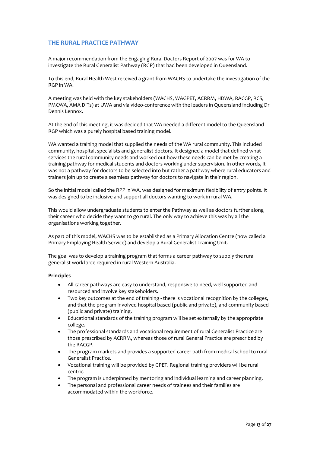#### **THE RURAL PRACTICE PATHWAY**

A major recommendation from the Engaging Rural Doctors Report of 2007 was for WA to investigate the Rural Generalist Pathway (RGP) that had been developed in Queensland.

To this end, Rural Health West received a grant from WACHS to undertake the investigation of the RGP in WA.

A meeting was held with the key stakeholders (WACHS, WAGPET, ACRRM, HDWA, RACGP, RCS, PMCWA, AMA DITs) at UWA and via video‐conference with the leaders in Queensland including Dr Dennis Lennox.

At the end of this meeting, it was decided that WA needed a different model to the Queensland RGP which was a purely hospital based training model.

WA wanted a training model that supplied the needs of the WA rural community. This included community, hospital, specialists and generalist doctors. It designed a model that defined what services the rural community needs and worked out how these needs can be met by creating a training pathway for medical students and doctors working under supervision. In other words, it was not a pathway for doctors to be selected into but rather a pathway where rural educators and trainers join up to create a seamless pathway for doctors to navigate in their region.

So the initial model called the RPP in WA, was designed for maximum flexibility of entry points. It was designed to be inclusive and support all doctors wanting to work in rural WA.

This would allow undergraduate students to enter the Pathway as well as doctors further along their career who decide they want to go rural. The only way to achieve this was by all the organisations working together.

As part of this model, WACHS was to be established as a Primary Allocation Centre (now called a Primary Employing Health Service) and develop a Rural Generalist Training Unit.

The goal was to develop a training program that forms a career pathway to supply the rural generalist workforce required in rural Western Australia.

#### **Principles**

- All career pathways are easy to understand, responsive to need, well supported and resourced and involve key stakeholders.
- Two key outcomes at the end of training there is vocational recognition by the colleges, and that the program involved hospital based (public and private), and community based (public and private) training.
- Educational standards of the training program will be set externally by the appropriate college.
- The professional standards and vocational requirement of rural Generalist Practice are those prescribed by ACRRM, whereas those of rural General Practice are prescribed by the RACGP.
- The program markets and provides a supported career path from medical school to rural Generalist Practice.
- Vocational training will be provided by GPET. Regional training providers will be rural centric.
- The program is underpinned by mentoring and individual learning and career planning.
- The personal and professional career needs of trainees and their families are accommodated within the workforce.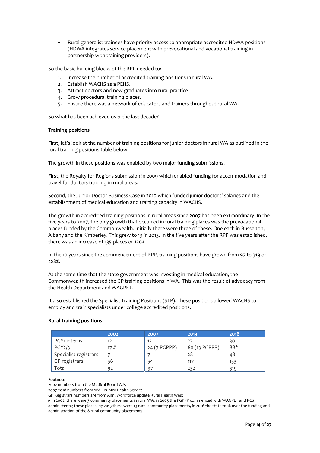Rural generalist trainees have priority access to appropriate accredited HDWA positions (HDWA integrates service placement with prevocational and vocational training in partnership with training providers).

So the basic building blocks of the RPP needed to:

- 1. Increase the number of accredited training positions in rural WA.
- 2. Establish WACHS as a PEHS.
- 3. Attract doctors and new graduates into rural practice.
- 4. Grow procedural training places.
- 5. Ensure there was a network of educators and trainers throughout rural WA.

So what has been achieved over the last decade?

#### **Training positions**

First, let's look at the number of training positions for junior doctors in rural WA as outlined in the rural training positions table below.

The growth in these positions was enabled by two major funding submissions.

First, the Royalty for Regions submission in 2009 which enabled funding for accommodation and travel for doctors training in rural areas.

Second, the Junior Doctor Business Case in 2010 which funded junior doctors' salaries and the establishment of medical education and training capacity in WACHS.

The growth in accredited training positions in rural areas since 2007 has been extraordinary. In the five years to 2007, the only growth that occurred in rural training places was the prevocational places funded by the Commonwealth. Initially there were three of these. One each in Busselton, Albany and the Kimberley. This grew to 13 in 2013. In the five years after the RPP was established, there was an increase of 135 places or 150%.

In the 10 years since the commencement of RPP, training positions have grown from 97 to 319 or 228%.

At the same time that the state government was investing in medical education, the Commonwealth increased the GP training positions in WA. This was the result of advocacy from the Health Department and WAGPET.

It also established the Specialist Training Positions (STP). These positions allowed WACHS to employ and train specialists under college accredited positions.

### **Rural training positions**

|                       | 2002 | 2007         | 2013          | 2018 |
|-----------------------|------|--------------|---------------|------|
| PGY1 interns          | 12   | 12           | 27            | 30   |
| PGY2/3                | 17#  | 24 (7 PGPPP) | 60 (13 PGPPP) | 88*  |
| Specialist registrars |      |              | 28            | 48   |
| GP registrars         | 56   | 54           | 117           | 153  |
| Total                 | 92   | 97           | 232           | 319  |

#### **Footnote**

2002 numbers from the Medical Board WA.

2007‐2018 numbers from WA Country Health Service.

GP Registrars numbers are from Ann. Workforce update Rural Health West

# In 2002, there were 3 community placements in rural WA, in 2005 the PGPPP commenced with WAGPET and RCS administering these places, by 2013 there were 13 rural community placements, in 2016 the state took over the funding and administration of the 8 rural community placements.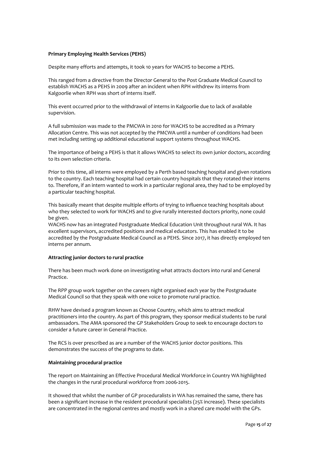#### **Primary Employing Health Services (PEHS)**

Despite many efforts and attempts, it took 10 years for WACHS to become a PEHS.

This ranged from a directive from the Director General to the Post Graduate Medical Council to establish WACHS as a PEHS in 2009 after an incident when RPH withdrew its interns from Kalgoorlie when RPH was short of interns itself.

This event occurred prior to the withdrawal of interns in Kalgoorlie due to lack of available supervision.

A full submission was made to the PMCWA in 2010 for WACHS to be accredited as a Primary Allocation Centre. This was not accepted by the PMCWA until a number of conditions had been met including setting up additional educational support systems throughout WACHS.

The importance of being a PEHS is that it allows WACHS to select its own junior doctors, according to its own selection criteria.

Prior to this time, all interns were employed by a Perth based teaching hospital and given rotations to the country. Each teaching hospital had certain country hospitals that they rotated their interns to. Therefore, if an intern wanted to work in a particular regional area, they had to be employed by a particular teaching hospital.

This basically meant that despite multiple efforts of trying to influence teaching hospitals about who they selected to work for WACHS and to give rurally interested doctors priority, none could be given.

WACHS now has an integrated Postgraduate Medical Education Unit throughout rural WA. It has excellent supervisors, accredited positions and medical educators. This has enabled it to be accredited by the Postgraduate Medical Council as a PEHS. Since 2017, it has directly employed ten interns per annum.

#### **Attracting junior doctors to rural practice**

There has been much work done on investigating what attracts doctors into rural and General Practice.

The RPP group work together on the careers night organised each year by the Postgraduate Medical Council so that they speak with one voice to promote rural practice.

RHW have devised a program known as Choose Country, which aims to attract medical practitioners into the country. As part of this program, they sponsor medical students to be rural ambassadors. The AMA sponsored the GP Stakeholders Group to seek to encourage doctors to consider a future career in General Practice.

The RCS is over prescribed as are a number of the WACHS junior doctor positions. This demonstrates the success of the programs to date.

#### **Maintaining procedural practice**

The report on Maintaining an Effective Procedural Medical Workforce in Country WA highlighted the changes in the rural procedural workforce from 2006‐2015.

It showed that whilst the number of GP proceduralists in WA has remained the same, there has been a significant increase in the resident procedural specialists (25% increase). These specialists are concentrated in the regional centres and mostly work in a shared care model with the GPs.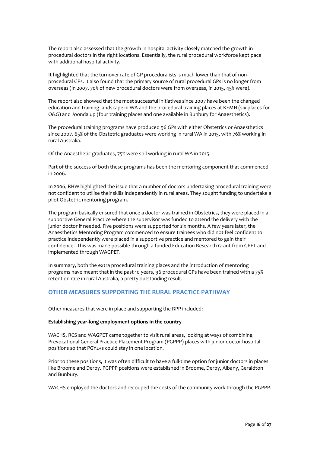The report also assessed that the growth in hospital activity closely matched the growth in procedural doctors in the right locations. Essentially, the rural procedural workforce kept pace with additional hospital activity.

It highlighted that the turnover rate of GP proceduralists is much lower than that of non‐ procedural GPs. It also found that the primary source of rural procedural GPs is no longer from overseas (in 2007, 70% of new procedural doctors were from overseas, in 2015, 45% were).

The report also showed that the most successful initiatives since 2007 have been the changed education and training landscape in WA and the procedural training places at KEMH (six places for O&G) and Joondalup (four training places and one available in Bunbury for Anaesthetics).

The procedural training programs have produced 96 GPs with either Obstetrics or Anaesthetics since 2007. 65% of the Obstetric graduates were working in rural WA in 2015, with 76% working in rural Australia.

Of the Anaesthetic graduates, 75% were still working in rural WA in 2015.

Part of the success of both these programs has been the mentoring component that commenced in 2006.

In 2006, RHW highlighted the issue that a number of doctors undertaking procedural training were not confident to utilise their skills independently in rural areas. They sought funding to undertake a pilot Obstetric mentoring program.

The program basically ensured that once a doctor was trained in Obstetrics, they were placed in a supportive General Practice where the supervisor was funded to attend the delivery with the junior doctor if needed. Five positions were supported for six months. A few years later, the Anaesthetics Mentoring Program commenced to ensure trainees who did not feel confident to practice independently were placed in a supportive practice and mentored to gain their confidence. This was made possible through a funded Education Research Grant from GPET and implemented through WAGPET.

In summary, both the extra procedural training places and the introduction of mentoring programs have meant that in the past 10 years, 96 procedural GPs have been trained with a 75% retention rate in rural Australia, a pretty outstanding result.

#### **OTHER MEASURES SUPPORTING THE RURAL PRACTICE PATHWAY**

Other measures that were in place and supporting the RPP included:

#### **Establishing year‐long employment options in the country**

WACHS, RCS and WAGPET came together to visit rural areas, looking at ways of combining Prevocational General Practice Placement Program (PGPPP) places with junior doctor hospital positions so that PGY2+s could stay in one location.

Prior to these positions, it was often difficult to have a full‐time option for junior doctors in places like Broome and Derby. PGPPP positions were established in Broome, Derby, Albany, Geraldton and Bunbury.

WACHS employed the doctors and recouped the costs of the community work through the PGPPP.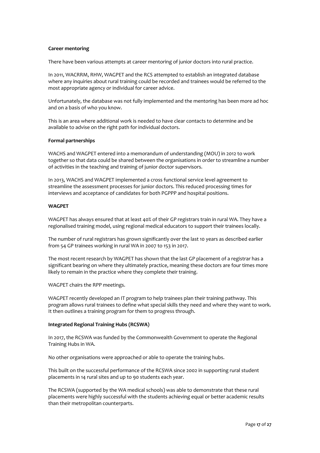#### **Career mentoring**

There have been various attempts at career mentoring of junior doctors into rural practice.

In 2011, WACRRM, RHW, WAGPET and the RCS attempted to establish an integrated database where any inquiries about rural training could be recorded and trainees would be referred to the most appropriate agency or individual for career advice.

Unfortunately, the database was not fully implemented and the mentoring has been more ad hoc and on a basis of who you know.

This is an area where additional work is needed to have clear contacts to determine and be available to advise on the right path for individual doctors.

#### **Formal partnerships**

WACHS and WAGPET entered into a memorandum of understanding (MOU) in 2012 to work together so that data could be shared between the organisations in order to streamline a number of activities in the teaching and training of junior doctor supervisors.

In 2013, WACHS and WAGPET implemented a cross functional service level agreement to streamline the assessment processes for junior doctors. This reduced processing times for interviews and acceptance of candidates for both PGPPP and hospital positions.

#### **WAGPET**

WAGPET has always ensured that at least 40% of their GP registrars train in rural WA. They have a regionalised training model, using regional medical educators to support their trainees locally.

The number of rural registrars has grown significantly over the last 10 years as described earlier from 54 GP trainees working in rural WA in 2007 to 153 in 2017.

The most recent research by WAGPET has shown that the last GP placement of a registrar has a significant bearing on where they ultimately practice, meaning these doctors are four times more likely to remain in the practice where they complete their training.

WAGPET chairs the RPP meetings.

WAGPET recently developed an IT program to help trainees plan their training pathway. This program allows rural trainees to define what special skills they need and where they want to work. It then outlines a training program for them to progress through.

#### **Integrated Regional Training Hubs (RCSWA)**

In 2017, the RCSWA was funded by the Commonwealth Government to operate the Regional Training Hubs in WA.

No other organisations were approached or able to operate the training hubs.

This built on the successful performance of the RCSWA since 2002 in supporting rural student placements in 14 rural sites and up to 90 students each year.

The RCSWA (supported by the WA medical schools) was able to demonstrate that these rural placements were highly successful with the students achieving equal or better academic results than their metropolitan counterparts.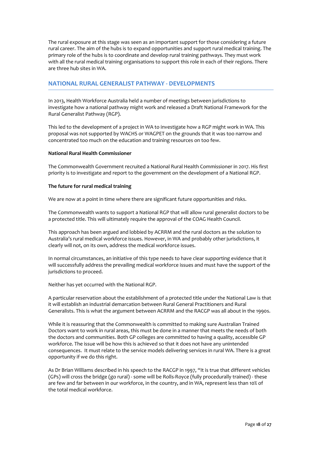The rural exposure at this stage was seen as an important support for those considering a future rural career. The aim of the hubs is to expand opportunities and support rural medical training. The primary role of the hubs is to coordinate and develop rural training pathways. They must work with all the rural medical training organisations to support this role in each of their regions. There are three hub sites in WA.

#### **NATIONAL RURAL GENERALIST PATHWAY ‐ DEVELOPMENTS**

In 2013, Health Workforce Australia held a number of meetings between jurisdictions to investigate how a national pathway might work and released a Draft National Framework for the Rural Generalist Pathway (RGP).

This led to the development of a project in WA to investigate how a RGP might work in WA. This proposal was not supported by WACHS or WAGPET on the grounds that it was too narrow and concentrated too much on the education and training resources on too few.

#### **National Rural Health Commissioner**

The Commonwealth Government recruited a National Rural Health Commissioner in 2017. His first priority is to investigate and report to the government on the development of a National RGP.

#### **The future for rural medical training**

We are now at a point in time where there are significant future opportunities and risks.

The Commonwealth wants to support a National RGP that will allow rural generalist doctors to be a protected title. This will ultimately require the approval of the COAG Health Council.

This approach has been argued and lobbied by ACRRM and the rural doctors as the solution to Australia's rural medical workforce issues. However, in WA and probably other jurisdictions, it clearly will not, on its own, address the medical workforce issues.

In normal circumstances, an initiative of this type needs to have clear supporting evidence that it will successfully address the prevailing medical workforce issues and must have the support of the jurisdictions to proceed.

Neither has yet occurred with the National RGP.

A particular reservation about the establishment of a protected title under the National Law is that it will establish an industrial demarcation between Rural General Practitioners and Rural Generalists. This is what the argument between ACRRM and the RACGP was all about in the 1990s.

While it is reassuring that the Commonwealth is committed to making sure Australian Trained Doctors want to work in rural areas, this must be done in a manner that meets the needs of both the doctors and communities. Both GP colleges are committed to having a quality, accessible GP workforce. The issue will be how this is achieved so that it does not have any unintended consequences. It must relate to the service models delivering services in rural WA. There is a great opportunity if we do this right.

As Dr Brian Williams described in his speech to the RACGP in 1997, "It is true that different vehicles (GPs) will cross the bridge (go rural) ‐ some will be Rolls‐Royce (fully procedurally trained) ‐ these are few and far between in our workforce, in the country, and in WA, represent less than 10% of the total medical workforce.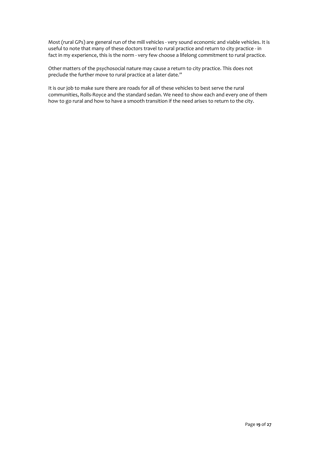Most (rural GPs) are general run of the mill vehicles ‐ very sound economic and viable vehicles. It is useful to note that many of these doctors travel to rural practice and return to city practice ‐ in fact in my experience, this is the norm ‐ very few choose a lifelong commitment to rural practice.

Other matters of the psychosocial nature may cause a return to city practice. This does not preclude the further move to rural practice at a later date."

It is our job to make sure there are roads for all of these vehicles to best serve the rural communities, Rolls‐Royce and the standard sedan. We need to show each and every one of them how to go rural and how to have a smooth transition if the need arises to return to the city.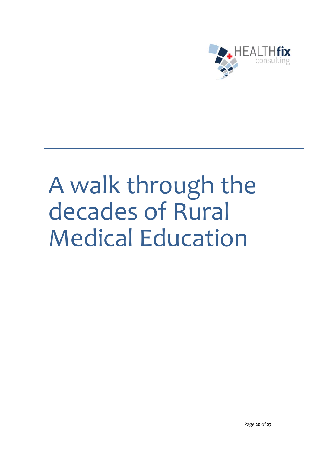

# A walk through the decades of Rural Medical Education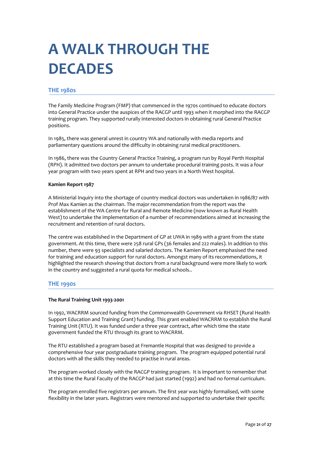## **A WALK THROUGH THE DECADES**

#### **THE 1980s**

The Family Medicine Program (FMP) that commenced in the 1970s continued to educate doctors into General Practice under the auspices of the RACGP until 1993 when it morphed into the RACGP training program. They supported rurally interested doctors in obtaining rural General Practice positions.

In 1985, there was general unrest in country WA and nationally with media reports and parliamentary questions around the difficulty in obtaining rural medical practitioners.

In 1986, there was the Country General Practice Training, a program run by Royal Perth Hospital (RPH). It admitted two doctors per annum to undertake procedural training posts. It was a four year program with two years spent at RPH and two years in a North West hospital.

#### **Kamien Report 1987**

A Ministerial Inquiry into the shortage of country medical doctors was undertaken in 1986/87 with Prof Max Kamien as the chairman. The major recommendation from the report was the establishment of the WA Centre for Rural and Remote Medicine (now known as Rural Health West) to undertake the implementation of a number of recommendations aimed at increasing the recruitment and retention of rural doctors.

The centre was established in the Department of GP at UWA in 1989 with a grant from the state government. At this time, there were 258 rural GPs (36 females and 222 males). In addition to this number, there were 93 specialists and salaried doctors. The Kamien Report emphasised the need for training and education support for rural doctors. Amongst many of its recommendations, it highlighted the research showing that doctors from a rural background were more likely to work in the country and suggested a rural quota for medical schools..

#### **THE 1990s**

#### **The Rural Training Unit 1993‐2001**

In 1992, WACRRM sourced funding from the Commonwealth Government via RHSET (Rural Health Support Education and Training Grant) funding. This grant enabled WACRRM to establish the Rural Training Unit (RTU). It was funded under a three year contract, after which time the state government funded the RTU through its grant to WACRRM.

The RTU established a program based at Fremantle Hospital that was designed to provide a comprehensive four year postgraduate training program. The program equipped potential rural doctors with all the skills they needed to practise in rural areas.

The program worked closely with the RACGP training program. It is important to remember that at this time the Rural Faculty of the RACGP had just started (1992) and had no formal curriculum.

The program enrolled five registrars per annum. The first year was highly formalised, with some flexibility in the later years. Registrars were mentored and supported to undertake their specific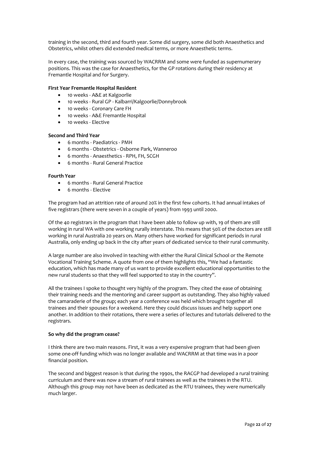training in the second, third and fourth year. Some did surgery, some did both Anaesthetics and Obstetrics, whilst others did extended medical terms, or more Anaesthetic terms.

In every case, the training was sourced by WACRRM and some were funded as supernumerary positions. This was the case for Anaesthetics, for the GP rotations during their residency at Fremantle Hospital and for Surgery.

#### **First Year Fremantle Hospital Resident**

- 10 weeks A&E at Kalgoorlie
- 10 weeks ‐ Rural GP ‐ Kalbarri/Kalgoorlie/Donnybrook
- 10 weeks Coronary Care FH
- 10 weeks A&E Fremantle Hospital
- 10 weeks ‐ Elective

#### **Second and Third Year**

- 6 months Paediatrics PMH
- 6 months ‐ Obstetrics ‐ Osborne Park, Wanneroo
- 6 months ‐ Anaesthetics ‐ RPH, FH, SCGH
- 6 months Rural General Practice

#### **Fourth Year**

- 6 months Rural General Practice
- 6 months ‐ Elective

The program had an attrition rate of around 20% in the first few cohorts. It had annual intakes of five registrars (there were seven in a couple of years) from 1993 until 2000.

Of the 40 registrars in the program that I have been able to follow up with, 19 of them are still working in rural WA with one working rurally interstate. This means that 50% of the doctors are still working in rural Australia 20 years on. Many others have worked for significant periods in rural Australia, only ending up back in the city after years of dedicated service to their rural community.

A large number are also involved in teaching with either the Rural Clinical School or the Remote Vocational Training Scheme. A quote from one of them highlights this, "We had a fantastic education, which has made many of us want to provide excellent educational opportunities to the new rural students so that they will feel supported to stay in the country".

All the trainees I spoke to thought very highly of the program. They cited the ease of obtaining their training needs and the mentoring and career support as outstanding. They also highly valued the camaraderie of the group; each year a conference was held which brought together all trainees and their spouses for a weekend. Here they could discuss issues and help support one another. In addition to their rotations, there were a series of lectures and tutorials delivered to the registrars.

#### **So why did the program cease?**

I think there are two main reasons. First, it was a very expensive program that had been given some one‐off funding which was no longer available and WACRRM at that time was in a poor financial position.

The second and biggest reason is that during the 1990s, the RACGP had developed a rural training curriculum and there was now a stream of rural trainees as well as the trainees in the RTU. Although this group may not have been as dedicated as the RTU trainees, they were numerically much larger.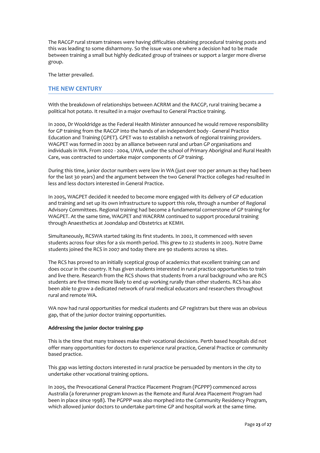The RACGP rural stream trainees were having difficulties obtaining procedural training posts and this was leading to some disharmony. So the issue was one where a decision had to be made between training a small but highly dedicated group of trainees or support a larger more diverse group.

The latter prevailed.

#### **THE NEW CENTURY**

With the breakdown of relationships between ACRRM and the RACGP, rural training became a political hot potato. It resulted in a major overhaul to General Practice training.

In 2000, Dr Wooldridge as the Federal Health Minister announced he would remove responsibility for GP training from the RACGP into the hands of an independent body ‐ General Practice Education and Training (GPET). GPET was to establish a network of regional training providers. WAGPET was formed in 2002 by an alliance between rural and urban GP organisations and individuals in WA. From 2002 ‐ 2004, UWA, under the school of Primary Aboriginal and Rural Health Care, was contracted to undertake major components of GP training.

During this time, junior doctor numbers were low in WA (just over 100 per annum as they had been for the last 30 years) and the argument between the two General Practice colleges had resulted in less and less doctors interested in General Practice.

In 2005, WAGPET decided it needed to become more engaged with its delivery of GP education and training and set up its own infrastructure to support this role, through a number of Regional Advisory Committees. Regional training had become a fundamental cornerstone of GP training for WAGPET. At the same time, WAGPET and WACRRM continued to support procedural training through Anaesthetics at Joondalup and Obstetrics at KEMH.

Simultaneously, RCSWA started taking its first students. In 2002, it commenced with seven students across four sites for a six month period. This grew to 22 students in 2003. Notre Dame students joined the RCS in 2007 and today there are 90 students across 14 sites.

The RCS has proved to an initially sceptical group of academics that excellent training can and does occur in the country. It has given students interested in rural practice opportunities to train and live there. Research from the RCS shows that students from a rural background who are RCS students are five times more likely to end up working rurally than other students. RCS has also been able to grow a dedicated network of rural medical educators and researchers throughout rural and remote WA.

WA now had rural opportunities for medical students and GP registrars but there was an obvious gap, that of the junior doctor training opportunities.

#### **Addressing the junior doctor training gap**

This is the time that many trainees make their vocational decisions. Perth based hospitals did not offer many opportunities for doctors to experience rural practice, General Practice or community based practice.

This gap was letting doctors interested in rural practice be persuaded by mentors in the city to undertake other vocational training options.

In 2005, the Prevocational General Practice Placement Program (PGPPP) commenced across Australia (a forerunner program known as the Remote and Rural Area Placement Program had been in place since 1998). The PGPPP was also morphed into the Community Residency Program, which allowed junior doctors to undertake part-time GP and hospital work at the same time.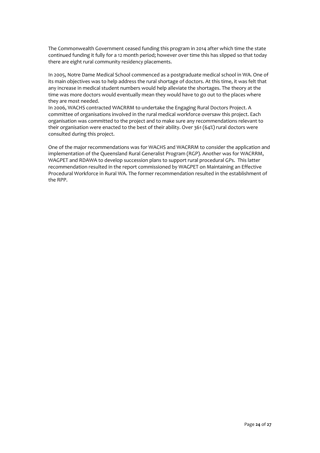The Commonwealth Government ceased funding this program in 2014 after which time the state continued funding it fully for a 12 month period; however over time this has slipped so that today there are eight rural community residency placements.

In 2005, Notre Dame Medical School commenced as a postgraduate medical school in WA. One of its main objectives was to help address the rural shortage of doctors. At this time, it was felt that any increase in medical student numbers would help alleviate the shortages. The theory at the time was more doctors would eventually mean they would have to go out to the places where they are most needed.

In 2006, WACHS contracted WACRRM to undertake the Engaging Rural Doctors Project. A committee of organisations involved in the rural medical workforce oversaw this project. Each organisation was committed to the project and to make sure any recommendations relevant to their organisation were enacted to the best of their ability. Over 361 (64%) rural doctors were consulted during this project.

One of the major recommendations was for WACHS and WACRRM to consider the application and implementation of the Queensland Rural Generalist Program (RGP). Another was for WACRRM, WAGPET and RDAWA to develop succession plans to support rural procedural GPs. This latter recommendation resulted in the report commissioned by WAGPET on Maintaining an Effective Procedural Workforce in Rural WA. The former recommendation resulted in the establishment of the RPP.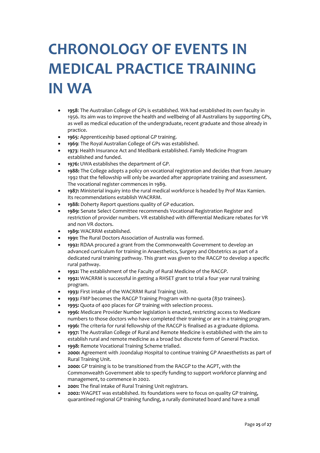## **CHRONOLOGY OF EVENTS IN MEDICAL PRACTICE TRAINING IN WA**

- **1958**: The Australian College of GPs is established. WA had established its own faculty in 1956. Its aim was to improve the health and wellbeing of all Australians by supporting GPs, as well as medical education of the undergraduate, recent graduate and those already in practice.
- **1965**: Apprenticeship based optional GP training.
- **1969**: The Royal Australian College of GPs was established.
- **1973**: Health Insurance Act and Medibank established. Family Medicine Program established and funded.
- **1976:** UWA establishes the department of GP.
- **1988:** The College adopts a policy on vocational registration and decides that from January 1992 that the fellowship will only be awarded after appropriate training and assessment. The vocational register commences in 1989.
- **1987:** Ministerial inquiry into the rural medical workforce is headed by Prof Max Kamien. Its recommendations establish WACRRM.
- **1988:** Doherty Report questions quality of GP education.
- **1989:** Senate Select Committee recommends Vocational Registration Register and restriction of provider numbers. VR established with differential Medicare rebates for VR and non VR doctors.
- **1989:** WACRRM established.
- **1991:** The Rural Doctors Association of Australia was formed.
- **1992:** RDAA procured a grant from the Commonwealth Government to develop an advanced curriculum for training in Anaesthetics, Surgery and Obstetrics as part of a dedicated rural training pathway. This grant was given to the RACGP to develop a specific rural pathway.
- **1992:** The establishment of the Faculty of Rural Medicine of the RACGP.
- **1992:** WACRRM is successful in getting a RHSET grant to trial a four year rural training program.
- **1993:** First intake of the WACRRM Rural Training Unit.
- **1993:** FMP becomes the RACGP Training Program with no quota (830 trainees).
- **1995:** Quota of 400 places for GP training with selection process.
- **1996:** Medicare Provider Number legislation is enacted, restricting access to Medicare numbers to those doctors who have completed their training or are in a training program.
- **1996:** The criteria for rural fellowship of the RACGP is finalised as a graduate diploma.
- **1997:** The Australian College of Rural and Remote Medicine is established with the aim to establish rural and remote medicine as a broad but discrete form of General Practice.
- **1998:** Remote Vocational Training Scheme trialled.
- **2000:** Agreement with Joondalup Hospital to continue training GP Anaesthetists as part of Rural Training Unit.
- **2000:** GP training is to be transitioned from the RACGP to the AGPT, with the Commonwealth Government able to specify funding to support workforce planning and management, to commence in 2002.
- **2001:** The final intake of Rural Training Unit registrars.
- **2002:** WAGPET was established. Its foundations were to focus on quality GP training, quarantined regional GP training funding, a rurally dominated board and have a small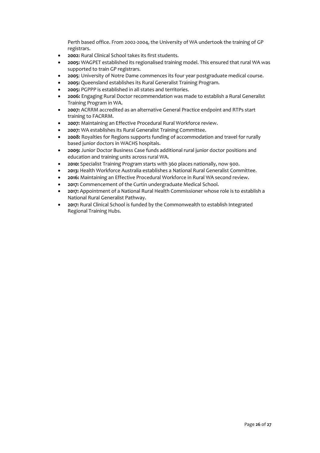Perth based office. From 2002‐2004, the University of WA undertook the training of GP registrars.

- **2002:** Rural Clinical School takes its first students.
- **2005:** WAGPET established its regionalised training model. This ensured that rural WA was supported to train GP registrars.
- **2005**: University of Notre Dame commences its four year postgraduate medical course.
- **2005:** Queensland establishes its Rural Generalist Training Program.
- **2005:** PGPPP is established in all states and territories.
- **2006:** Engaging Rural Doctor recommendation was made to establish a Rural Generalist Training Program in WA.
- **2007:** ACRRM accredited as an alternative General Practice endpoint and RTPs start training to FACRRM.
- **2007:** Maintaining an Effective Procedural Rural Workforce review.
- **2007:** WA establishes its Rural Generalist Training Committee.
- **2008:** Royalties for Regions supports funding of accommodation and travel for rurally based junior doctors in WACHS hospitals.
- **2009:** Junior Doctor Business Case funds additional rural junior doctor positions and education and training units across rural WA.
- **2010:** Specialist Training Program starts with 360 places nationally, now 900.
- **2013:** Health Workforce Australia establishes a National Rural Generalist Committee.
- **2016:** Maintaining an Effective Procedural Workforce in Rural WA second review.
- **2017:** Commencement of the Curtin undergraduate Medical School.
- **2017:** Appointment of a National Rural Health Commissioner whose role is to establish a National Rural Generalist Pathway.
- **2017:** Rural Clinical School is funded by the Commonwealth to establish Integrated Regional Training Hubs.